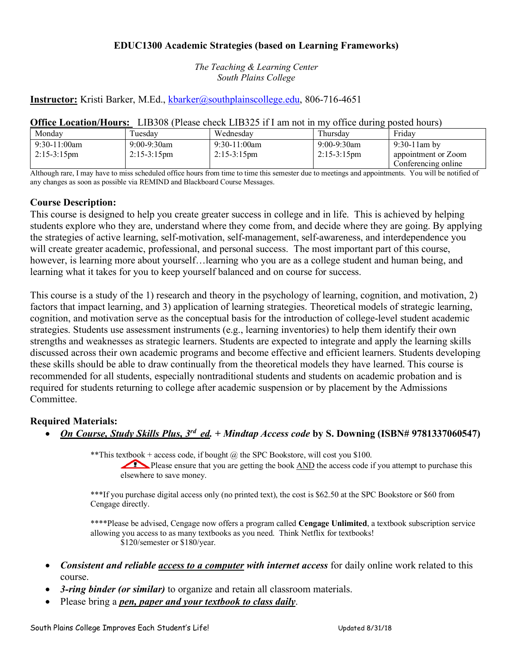# **EDUC1300 Academic Strategies (based on Learning Frameworks)**

*The Teaching & Learning Center South Plains College*

# **Instructor:** Kristi Barker, M.Ed., kbarker@southplainscollege.edu, 806-716-4651

| <b>Office Location/Hours:</b> LIB308 (Please check LIB325 if I am not in my office during posted hours) |  |  |  |
|---------------------------------------------------------------------------------------------------------|--|--|--|
|                                                                                                         |  |  |  |

| Mondav                                   | uesday                               | Wednesday                               | Thursday                                | Friday                                                        |
|------------------------------------------|--------------------------------------|-----------------------------------------|-----------------------------------------|---------------------------------------------------------------|
| $9:30-11:00$ am<br>$2:15-3:15 \text{pm}$ | 9:00-9:30am<br>$2:15-3:15 \text{pm}$ | $9:30-11:00am$<br>$2:15-3:15 \text{pm}$ | $9:00-9:30$ am<br>$2:15-3:15 \text{pm}$ | $9:30-11$ am by<br>appointment or Zoom<br>Conferencing online |

Although rare, I may have to miss scheduled office hours from time to time this semester due to meetings and appointments. You will be notified of any changes as soon as possible via REMIND and Blackboard Course Messages.

### **Course Description:**

This course is designed to help you create greater success in college and in life. This is achieved by helping students explore who they are, understand where they come from, and decide where they are going. By applying the strategies of active learning, self-motivation, self-management, self-awareness, and interdependence you will create greater academic, professional, and personal success. The most important part of this course, however, is learning more about yourself... learning who you are as a college student and human being, and learning what it takes for you to keep yourself balanced and on course for success.

This course is a study of the 1) research and theory in the psychology of learning, cognition, and motivation, 2) factors that impact learning, and 3) application of learning strategies. Theoretical models of strategic learning, cognition, and motivation serve as the conceptual basis for the introduction of college-level student academic strategies. Students use assessment instruments (e.g., learning inventories) to help them identify their own strengths and weaknesses as strategic learners. Students are expected to integrate and apply the learning skills discussed across their own academic programs and become effective and efficient learners. Students developing these skills should be able to draw continually from the theoretical models they have learned. This course is recommended for all students, especially nontraditional students and students on academic probation and is required for students returning to college after academic suspension or by placement by the Admissions **Committee** 

### **Required Materials:**

• *On Course, Study Skills Plus, 3rd ed. + Mindtap Access code* **by S. Downing (ISBN# 9781337060547)**

\*\*This textbook + access code, if bought  $\omega$  the SPC Bookstore, will cost you \$100.

Please ensure that you are getting the book AND the access code if you attempt to purchase this elsewhere to save money.

\*\*\*If you purchase digital access only (no printed text), the cost is \$62.50 at the SPC Bookstore or \$60 from Cengage directly.

\*\*\*\*Please be advised, Cengage now offers a program called **Cengage Unlimited**, a textbook subscription service allowing you access to as many textbooks as you need. Think Netflix for textbooks! \$120/semester or \$180/year.

- *Consistent and reliable access to a computer with internet access* for daily online work related to this course.
- *3-ring binder (or similar)* to organize and retain all classroom materials.
- Please bring a *pen, paper and your textbook to class daily*.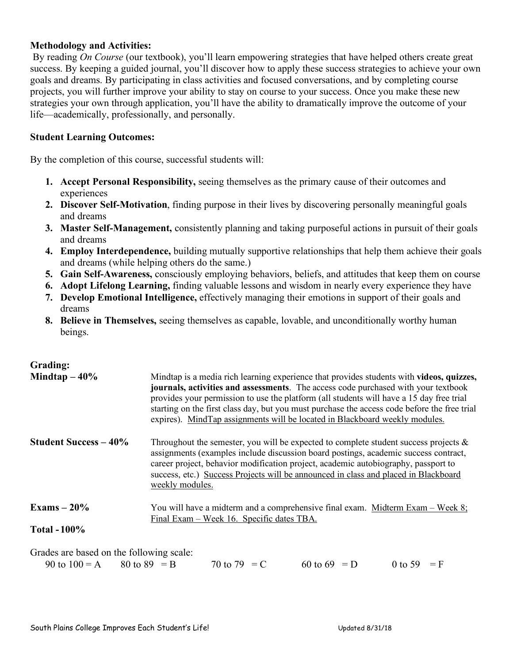# **Methodology and Activities:**

By reading *On Course* (our textbook), you'll learn empowering strategies that have helped others create great success. By keeping a guided journal, you'll discover how to apply these success strategies to achieve your own goals and dreams. By participating in class activities and focused conversations, and by completing course projects, you will further improve your ability to stay on course to your success. Once you make these new strategies your own through application, you'll have the ability to dramatically improve the outcome of your life—academically, professionally, and personally.

### **Student Learning Outcomes:**

By the completion of this course, successful students will:

- **1. Accept Personal Responsibility,** seeing themselves as the primary cause of their outcomes and experiences
- **2. Discover Self-Motivation**, finding purpose in their lives by discovering personally meaningful goals and dreams
- **3. Master Self-Management,** consistently planning and taking purposeful actions in pursuit of their goals and dreams
- **4. Employ Interdependence,** building mutually supportive relationships that help them achieve their goals and dreams (while helping others do the same.)
- **5. Gain Self-Awareness,** consciously employing behaviors, beliefs, and attitudes that keep them on course
- **6. Adopt Lifelong Learning,** finding valuable lessons and wisdom in nearly every experience they have
- **7. Develop Emotional Intelligence,** effectively managing their emotions in support of their goals and dreams
- **8. Believe in Themselves,** seeing themselves as capable, lovable, and unconditionally worthy human beings.

### **Grading:**

| Mindtap $-40\%$                                                          | Mindtap is a media rich learning experience that provides students with <b>videos</b> , quizzes,<br>journals, activities and assessments. The access code purchased with your textbook<br>provides your permission to use the platform (all students will have a 15 day free trial<br>starting on the first class day, but you must purchase the access code before the free trial<br>expires). MindTap assignments will be located in Blackboard weekly modules. |  |  |  |
|--------------------------------------------------------------------------|-------------------------------------------------------------------------------------------------------------------------------------------------------------------------------------------------------------------------------------------------------------------------------------------------------------------------------------------------------------------------------------------------------------------------------------------------------------------|--|--|--|
| <b>Student Success – 40%</b>                                             | Throughout the semester, you will be expected to complete student success projects $\&$<br>assignments (examples include discussion board postings, academic success contract,<br>career project, behavior modification project, academic autobiography, passport to<br>success, etc.) Success Projects will be announced in class and placed in Blackboard<br>weekly modules.                                                                                    |  |  |  |
| Exams $-20\%$                                                            | You will have a midterm and a comprehensive final exam. Midterm Exam – Week 8;<br>Final Exam – Week 16. Specific dates TBA.                                                                                                                                                                                                                                                                                                                                       |  |  |  |
| Total $-100\%$                                                           |                                                                                                                                                                                                                                                                                                                                                                                                                                                                   |  |  |  |
| Grades are based on the following scale:<br>90 to $100 = A$ 80 to 89 = B | 60 to 69 = $D$<br>70 to 79 = C<br>0 to 59 = F                                                                                                                                                                                                                                                                                                                                                                                                                     |  |  |  |